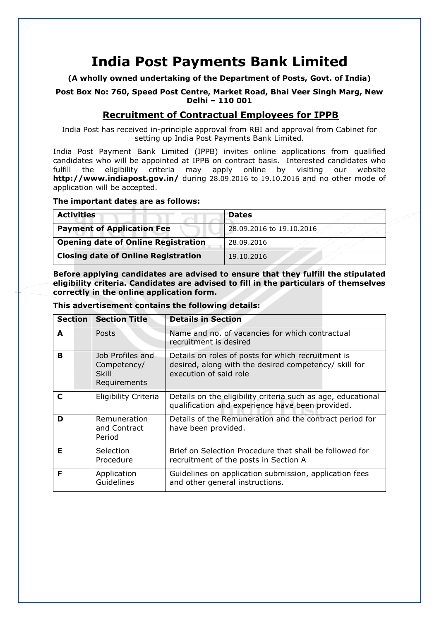# **India Post Payments Bank Limited**

**(A wholly owned undertaking of the Department of Posts, Govt. of India)**

**Post Box No: 760, Speed Post Centre, Market Road, Bhai Veer Singh Marg, New Delhi – 110 001**

## **Recruitment of Contractual Employees for IPPB**

India Post has received in-principle approval from RBI and approval from Cabinet for setting up India Post Payments Bank Limited.

India Post Payment Bank Limited (IPPB) invites online applications from qualified candidates who will be appointed at IPPB on contract basis. Interested candidates who fulfill the eligibility criteria may apply online by visiting our website **<http://www.indiapost.gov.in/>** during 28.09.2016 to 19.10.2016 and no other mode of application will be accepted.

## **The important dates are as follows:**

| <b>Activities</b>                          | <b>Dates</b>             |
|--------------------------------------------|--------------------------|
| <b>Payment of Application Fee</b>          | 28,09,2016 to 19,10,2016 |
| <b>Opening date of Online Registration</b> | 28.09.2016               |
| <b>Closing date of Online Registration</b> | 19.10.2016               |

**Before applying candidates are advised to ensure that they fulfill the stipulated eligibility criteria. Candidates are advised to fill in the particulars of themselves correctly in the online application form.**

#### **This advertisement contains the following details:**

| <b>Section</b> | <b>Section Title</b>                                            | <b>Details in Section</b>                                                                                                             |
|----------------|-----------------------------------------------------------------|---------------------------------------------------------------------------------------------------------------------------------------|
| A              | Posts                                                           | Name and no. of vacancies for which contractual<br>recruitment is desired                                                             |
| в              | Job Profiles and<br>Competency/<br><b>Skill</b><br>Requirements | Details on roles of posts for which recruitment is<br>desired, along with the desired competency/ skill for<br>execution of said role |
| C              | Eligibility Criteria                                            | Details on the eligibility criteria such as age, educational<br>qualification and experience have been provided.                      |
| D              | Remuneration<br>and Contract<br>Period                          | Details of the Remuneration and the contract period for<br>have been provided.                                                        |
| Е              | Selection<br>Procedure                                          | Brief on Selection Procedure that shall be followed for<br>recruitment of the posts in Section A                                      |
| F              | Application<br>Guidelines                                       | Guidelines on application submission, application fees<br>and other general instructions.                                             |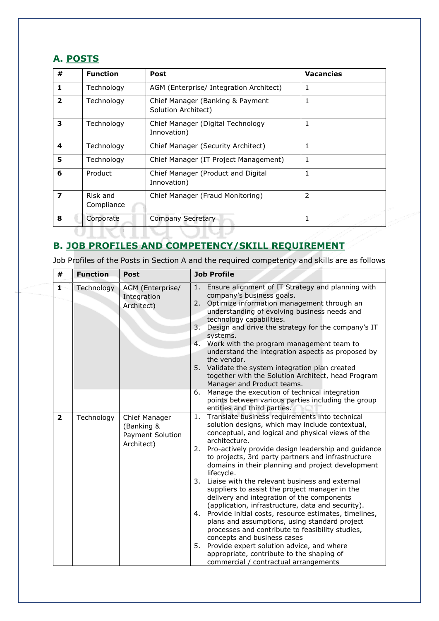## **A. POSTS**

| #                       | <b>Function</b>        | <b>Post</b>                                             | <b>Vacancies</b> |
|-------------------------|------------------------|---------------------------------------------------------|------------------|
| 1                       | Technology             | AGM (Enterprise/ Integration Architect)                 |                  |
| $\overline{\mathbf{z}}$ | Technology             | Chief Manager (Banking & Payment<br>Solution Architect) |                  |
| 3                       | Technology             | Chief Manager (Digital Technology<br>Innovation)        |                  |
| 4                       | Technology             | Chief Manager (Security Architect)                      |                  |
| 5                       | Technology             | Chief Manager (IT Project Management)                   |                  |
| 6                       | Product                | Chief Manager (Product and Digital<br>Innovation)       |                  |
| 7                       | Risk and<br>Compliance | Chief Manager (Fraud Monitoring)                        | $\overline{2}$   |
| 8                       | Corporate              | Company Secretary                                       |                  |
|                         |                        |                                                         |                  |

## **B. JOB PROFILES AND COMPETENCY/SKILL REQUIREMENT**

Job Profiles of the Posts in Section A and the required competency and skills are as follows

| #                       | <b>Function</b> | <b>Post</b>                                                   | <b>Job Profile</b>                                                                                                                                                                                                                                                                                                                                                                                                                                                                                                                                                                                                                                                                                                                                                                                                                                                                                                           |
|-------------------------|-----------------|---------------------------------------------------------------|------------------------------------------------------------------------------------------------------------------------------------------------------------------------------------------------------------------------------------------------------------------------------------------------------------------------------------------------------------------------------------------------------------------------------------------------------------------------------------------------------------------------------------------------------------------------------------------------------------------------------------------------------------------------------------------------------------------------------------------------------------------------------------------------------------------------------------------------------------------------------------------------------------------------------|
| $\mathbf{1}$            | Technology      | AGM (Enterprise/<br>Integration<br>Architect)                 | Ensure alignment of IT Strategy and planning with<br>1.<br>company's business goals.<br>Optimize information management through an<br>2.<br>understanding of evolving business needs and<br>technology capabilities.<br>Design and drive the strategy for the company's IT<br>3.<br>systems.<br>Work with the program management team to<br>4.<br>understand the integration aspects as proposed by<br>the vendor.<br>5. Validate the system integration plan created<br>together with the Solution Architect, head Program<br>Manager and Product teams.<br>Manage the execution of technical integration<br>6.<br>points between various parties including the group<br>entities and third parties.                                                                                                                                                                                                                        |
| $\overline{\mathbf{2}}$ | Technology      | Chief Manager<br>(Banking &<br>Payment Solution<br>Architect) | Translate business requirements into technical<br>1.<br>solution designs, which may include contextual,<br>conceptual, and logical and physical views of the<br>architecture.<br>2.<br>Pro-actively provide design leadership and guidance<br>to projects, 3rd party partners and infrastructure<br>domains in their planning and project development<br>lifecycle.<br>3.<br>Liaise with the relevant business and external<br>suppliers to assist the project manager in the<br>delivery and integration of the components<br>(application, infrastructure, data and security).<br>Provide initial costs, resource estimates, timelines,<br>4.<br>plans and assumptions, using standard project<br>processes and contribute to feasibility studies,<br>concepts and business cases<br>Provide expert solution advice, and where<br>5.<br>appropriate, contribute to the shaping of<br>commercial / contractual arrangements |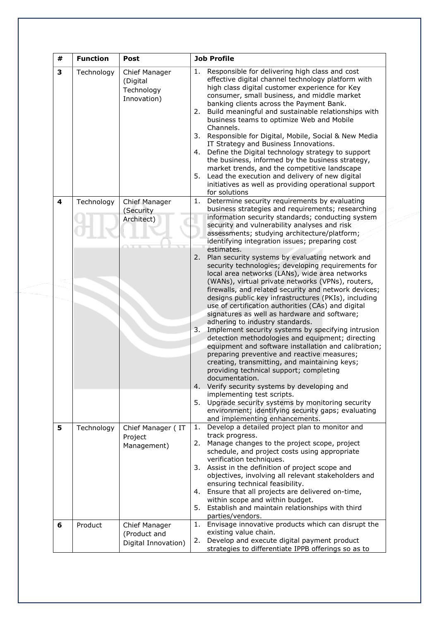| # | <b>Function</b> | Post                                                   | <b>Job Profile</b>                                                                                                                                                                                                                                                                                                                                                                                                                                                                                                                                                                                                                                                                                                                                                                                                                                                                                                                                                                                                                                                                                                                                                                                                                                                                                                                             |
|---|-----------------|--------------------------------------------------------|------------------------------------------------------------------------------------------------------------------------------------------------------------------------------------------------------------------------------------------------------------------------------------------------------------------------------------------------------------------------------------------------------------------------------------------------------------------------------------------------------------------------------------------------------------------------------------------------------------------------------------------------------------------------------------------------------------------------------------------------------------------------------------------------------------------------------------------------------------------------------------------------------------------------------------------------------------------------------------------------------------------------------------------------------------------------------------------------------------------------------------------------------------------------------------------------------------------------------------------------------------------------------------------------------------------------------------------------|
| 3 | Technology      | Chief Manager<br>(Digital<br>Technology<br>Innovation) | Responsible for delivering high class and cost<br>1.<br>effective digital channel technology platform with<br>high class digital customer experience for Key<br>consumer, small business, and middle market<br>banking clients across the Payment Bank.<br>Build meaningful and sustainable relationships with<br>2.<br>business teams to optimize Web and Mobile<br>Channels.<br>3.<br>Responsible for Digital, Mobile, Social & New Media<br>IT Strategy and Business Innovations.<br>Define the Digital technology strategy to support<br>4.<br>the business, informed by the business strategy,<br>market trends, and the competitive landscape<br>5.<br>Lead the execution and delivery of new digital<br>initiatives as well as providing operational support<br>for solutions                                                                                                                                                                                                                                                                                                                                                                                                                                                                                                                                                           |
| 4 | Technology      | Chief Manager<br>(Security<br>Architect)               | Determine security requirements by evaluating<br>1.<br>business strategies and requirements; researching<br>information security standards; conducting system<br>security and vulnerability analyses and risk<br>assessments; studying architecture/platform;<br>identifying integration issues; preparing cost<br>estimates.<br>2.<br>Plan security systems by evaluating network and<br>security technologies; developing requirements for<br>local area networks (LANs), wide area networks<br>(WANs), virtual private networks (VPNs), routers,<br>firewalls, and related security and network devices;<br>designs public key infrastructures (PKIs), including<br>use of certification authorities (CAs) and digital<br>signatures as well as hardware and software;<br>adhering to industry standards.<br>3.<br>Implement security systems by specifying intrusion<br>detection methodologies and equipment; directing<br>equipment and software installation and calibration;<br>preparing preventive and reactive measures;<br>creating, transmitting, and maintaining keys;<br>providing technical support; completing<br>documentation.<br>4.<br>Verify security systems by developing and<br>implementing test scripts.<br>5. Upgrade security systems by monitoring security<br>environment; identifying security gaps; evaluating |
| 5 | Technology      | Chief Manager (IT<br>Project<br>Management)            | and implementing enhancements.<br>Develop a detailed project plan to monitor and<br>1.<br>track progress.<br>Manage changes to the project scope, project<br>2.<br>schedule, and project costs using appropriate<br>verification techniques.<br>Assist in the definition of project scope and<br>3.<br>objectives, involving all relevant stakeholders and<br>ensuring technical feasibility.<br>Ensure that all projects are delivered on-time,<br>4.<br>within scope and within budget.<br>Establish and maintain relationships with third<br>5.<br>parties/vendors.                                                                                                                                                                                                                                                                                                                                                                                                                                                                                                                                                                                                                                                                                                                                                                         |
| 6 | Product         | Chief Manager<br>(Product and<br>Digital Innovation)   | Envisage innovative products which can disrupt the<br>1.<br>existing value chain.<br>Develop and execute digital payment product<br>2.<br>strategies to differentiate IPPB offerings so as to                                                                                                                                                                                                                                                                                                                                                                                                                                                                                                                                                                                                                                                                                                                                                                                                                                                                                                                                                                                                                                                                                                                                                  |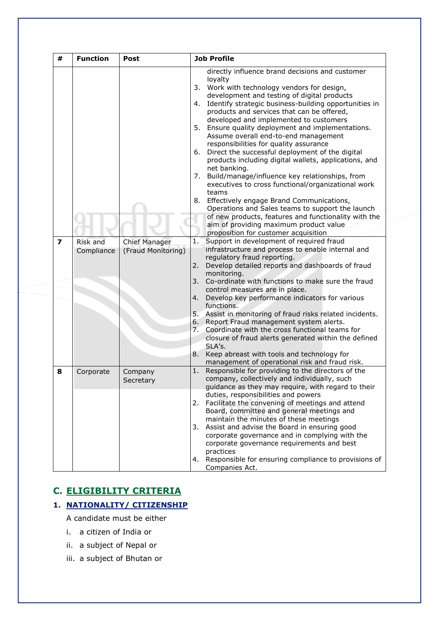| #                       | <b>Function</b>        | <b>Post</b>                                |                                                    | <b>Job Profile</b>                                                                                                                                                                                                                                                                                                                                                                                                                                                                                                                                                                                                                                                                                                                                                                                                                                                                                                                                                                                                                                                                                                                                                                                                                                                                                                                                                                                                                                                                                                                                                               |
|-------------------------|------------------------|--------------------------------------------|----------------------------------------------------|----------------------------------------------------------------------------------------------------------------------------------------------------------------------------------------------------------------------------------------------------------------------------------------------------------------------------------------------------------------------------------------------------------------------------------------------------------------------------------------------------------------------------------------------------------------------------------------------------------------------------------------------------------------------------------------------------------------------------------------------------------------------------------------------------------------------------------------------------------------------------------------------------------------------------------------------------------------------------------------------------------------------------------------------------------------------------------------------------------------------------------------------------------------------------------------------------------------------------------------------------------------------------------------------------------------------------------------------------------------------------------------------------------------------------------------------------------------------------------------------------------------------------------------------------------------------------------|
| $\overline{\mathbf{z}}$ | Risk and<br>Compliance | <b>Chief Manager</b><br>(Fraud Monitoring) | 4.<br>5.<br>6.<br>7.<br>1.<br>2.<br>3.<br>7.<br>8. | directly influence brand decisions and customer<br>loyalty<br>3. Work with technology vendors for design,<br>development and testing of digital products<br>Identify strategic business-building opportunities in<br>products and services that can be offered,<br>developed and implemented to customers<br>Ensure quality deployment and implementations.<br>Assume overall end-to-end management<br>responsibilities for quality assurance<br>Direct the successful deployment of the digital<br>products including digital wallets, applications, and<br>net banking.<br>Build/manage/influence key relationships, from<br>executives to cross functional/organizational work<br>teams<br>8. Effectively engage Brand Communications,<br>Operations and Sales teams to support the launch<br>of new products, features and functionality with the<br>aim of providing maximum product value<br>proposition for customer acquisition<br>Support in development of required fraud<br>infrastructure and process to enable internal and<br>regulatory fraud reporting.<br>Develop detailed reports and dashboards of fraud<br>monitoring.<br>Co-ordinate with functions to make sure the fraud<br>control measures are in place.<br>4. Develop key performance indicators for various<br>functions.<br>5. Assist in monitoring of fraud risks related incidents.<br>6. Report Fraud management system alerts.<br>Coordinate with the cross functional teams for<br>closure of fraud alerts generated within the defined<br>SLA's.<br>Keep abreast with tools and technology for |
| 8                       | Corporate              | Company<br>Secretary                       | 1.                                                 | management of operational risk and fraud risk.<br>Responsible for providing to the directors of the<br>company, collectively and individually, such<br>guidance as they may require, with regard to their                                                                                                                                                                                                                                                                                                                                                                                                                                                                                                                                                                                                                                                                                                                                                                                                                                                                                                                                                                                                                                                                                                                                                                                                                                                                                                                                                                        |
|                         |                        |                                            | 3.                                                 | duties, responsibilities and powers<br>2. Facilitate the convening of meetings and attend<br>Board, committee and general meetings and<br>maintain the minutes of these meetings<br>Assist and advise the Board in ensuring good<br>corporate governance and in complying with the<br>corporate governance requirements and best                                                                                                                                                                                                                                                                                                                                                                                                                                                                                                                                                                                                                                                                                                                                                                                                                                                                                                                                                                                                                                                                                                                                                                                                                                                 |
|                         |                        |                                            |                                                    | practices<br>4. Responsible for ensuring compliance to provisions of<br>Companies Act.                                                                                                                                                                                                                                                                                                                                                                                                                                                                                                                                                                                                                                                                                                                                                                                                                                                                                                                                                                                                                                                                                                                                                                                                                                                                                                                                                                                                                                                                                           |

## **C. ELIGIBILITY CRITERIA**

## **1. NATIONALITY/ CITIZENSHIP**

A candidate must be either

- i. a citizen of India or
- ii. a subject of Nepal or
- iii. a subject of Bhutan or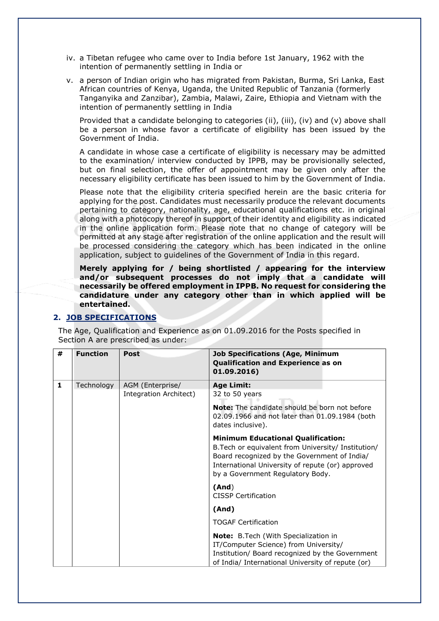- iv. a Tibetan refugee who came over to India before 1st January, 1962 with the intention of permanently settling in India or
- v. a person of Indian origin who has migrated from Pakistan, Burma, Sri Lanka, East African countries of Kenya, Uganda, the United Republic of Tanzania (formerly Tanganyika and Zanzibar), Zambia, Malawi, Zaire, Ethiopia and Vietnam with the intention of permanently settling in India

Provided that a candidate belonging to categories (ii), (iii), (iv) and (v) above shall be a person in whose favor a certificate of eligibility has been issued by the Government of India.

A candidate in whose case a certificate of eligibility is necessary may be admitted to the examination/ interview conducted by IPPB, may be provisionally selected, but on final selection, the offer of appointment may be given only after the necessary eligibility certificate has been issued to him by the Government of India.

Please note that the eligibility criteria specified herein are the basic criteria for applying for the post. Candidates must necessarily produce the relevant documents pertaining to category, nationality, age, educational qualifications etc. in original along with a photocopy thereof in support of their identity and eligibility as indicated in the online application form. Please note that no change of category will be permitted at any stage after registration of the online application and the result will be processed considering the category which has been indicated in the online application, subject to guidelines of the Government of India in this regard.

**Merely applying for / being shortlisted / appearing for the interview and/or subsequent processes do not imply that a candidate will necessarily be offered employment in IPPB. No request for considering the candidature under any category other than in which applied will be entertained.**

## **2. JOB SPECIFICATIONS**

The Age, Qualification and Experience as on 01.09.2016 for the Posts specified in Section A are prescribed as under:

| # | <b>Function</b> | <b>Post</b>            | <b>Job Specifications (Age, Minimum</b><br>Qualification and Experience as on<br>01.09.2016)                                                                                                                                             |
|---|-----------------|------------------------|------------------------------------------------------------------------------------------------------------------------------------------------------------------------------------------------------------------------------------------|
| 1 | Technology      | AGM (Enterprise/       | <b>Age Limit:</b>                                                                                                                                                                                                                        |
|   |                 | Integration Architect) | 32 to 50 years                                                                                                                                                                                                                           |
|   |                 |                        | <b>Note:</b> The candidate should be born not before<br>02.09.1966 and not later than 01.09.1984 (both<br>dates inclusive).                                                                                                              |
|   |                 |                        | <b>Minimum Educational Qualification:</b><br>B. Tech or equivalent from University/ Institution/<br>Board recognized by the Government of India/<br>International University of repute (or) approved<br>by a Government Regulatory Body. |
|   |                 |                        | (And)<br><b>CISSP Certification</b>                                                                                                                                                                                                      |
|   |                 |                        | (And)                                                                                                                                                                                                                                    |
|   |                 |                        | <b>TOGAF Certification</b>                                                                                                                                                                                                               |
|   |                 |                        | Note: B.Tech (With Specialization in<br>IT/Computer Science) from University/<br>Institution/ Board recognized by the Government<br>of India/ International University of repute (or)                                                    |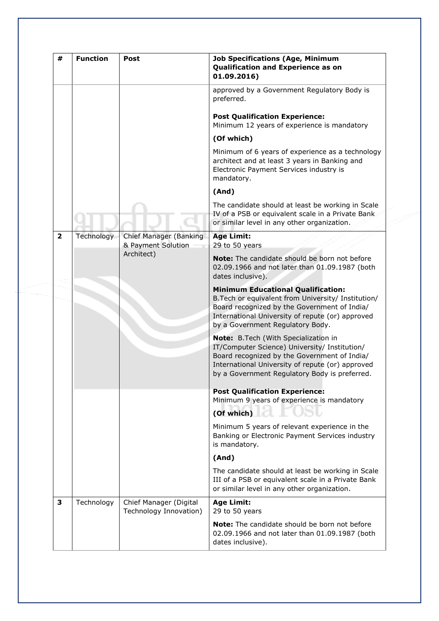| #              | <b>Function</b> | Post                                             | <b>Job Specifications (Age, Minimum</b><br>Qualification and Experience as on<br>01.09.2016)                                                                                                                                               |
|----------------|-----------------|--------------------------------------------------|--------------------------------------------------------------------------------------------------------------------------------------------------------------------------------------------------------------------------------------------|
|                |                 |                                                  | approved by a Government Regulatory Body is<br>preferred.                                                                                                                                                                                  |
|                |                 |                                                  | <b>Post Qualification Experience:</b><br>Minimum 12 years of experience is mandatory                                                                                                                                                       |
|                |                 |                                                  | (Of which)                                                                                                                                                                                                                                 |
|                |                 |                                                  | Minimum of 6 years of experience as a technology<br>architect and at least 3 years in Banking and<br>Electronic Payment Services industry is<br>mandatory.                                                                                 |
|                |                 |                                                  | (And)                                                                                                                                                                                                                                      |
|                |                 |                                                  | The candidate should at least be working in Scale<br>IV of a PSB or equivalent scale in a Private Bank<br>or similar level in any other organization.                                                                                      |
| $\overline{2}$ | Technology      | Chief Manager (Banking<br>& Payment Solution     | <b>Age Limit:</b><br>29 to 50 years                                                                                                                                                                                                        |
|                |                 | Architect)                                       | Note: The candidate should be born not before<br>02.09.1966 and not later than 01.09.1987 (both<br>dates inclusive).                                                                                                                       |
|                |                 |                                                  | <b>Minimum Educational Qualification:</b><br>B. Tech or equivalent from University/ Institution/<br>Board recognized by the Government of India/<br>International University of repute (or) approved<br>by a Government Regulatory Body.   |
|                |                 |                                                  | Note: B.Tech (With Specialization in<br>IT/Computer Science) University/ Institution/<br>Board recognized by the Government of India/<br>International University of repute (or) approved<br>by a Government Regulatory Body is preferred. |
|                |                 |                                                  | <b>Post Qualification Experience:</b><br>Minimum 9 years of experience is mandatory                                                                                                                                                        |
|                |                 |                                                  | (Of which)                                                                                                                                                                                                                                 |
|                |                 |                                                  | Minimum 5 years of relevant experience in the<br>Banking or Electronic Payment Services industry<br>is mandatory.                                                                                                                          |
|                |                 |                                                  | (And)                                                                                                                                                                                                                                      |
|                |                 |                                                  | The candidate should at least be working in Scale<br>III of a PSB or equivalent scale in a Private Bank<br>or similar level in any other organization.                                                                                     |
| 3              | Technology      | Chief Manager (Digital<br>Technology Innovation) | <b>Age Limit:</b><br>29 to 50 years                                                                                                                                                                                                        |
|                |                 |                                                  | <b>Note:</b> The candidate should be born not before<br>02.09.1966 and not later than 01.09.1987 (both<br>dates inclusive).                                                                                                                |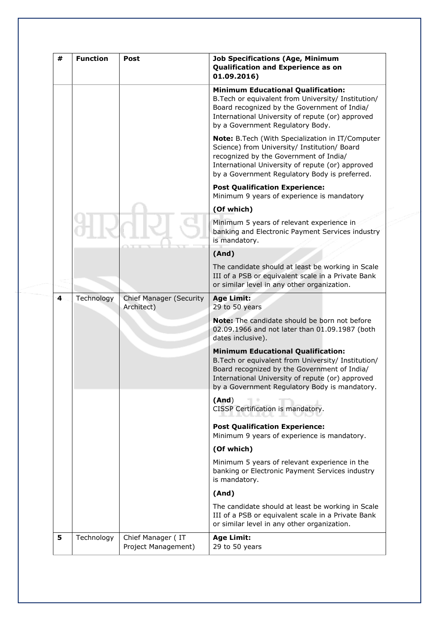| # | <b>Function</b> | Post                                         | <b>Job Specifications (Age, Minimum</b><br>Qualification and Experience as on<br>01.09.2016)                                                                                                                                                          |
|---|-----------------|----------------------------------------------|-------------------------------------------------------------------------------------------------------------------------------------------------------------------------------------------------------------------------------------------------------|
|   |                 |                                              | <b>Minimum Educational Qualification:</b><br>B. Tech or equivalent from University/ Institution/<br>Board recognized by the Government of India/<br>International University of repute (or) approved<br>by a Government Regulatory Body.              |
|   |                 |                                              | Note: B.Tech (With Specialization in IT/Computer<br>Science) from University/ Institution/ Board<br>recognized by the Government of India/<br>International University of repute (or) approved<br>by a Government Regulatory Body is preferred.       |
|   |                 |                                              | <b>Post Qualification Experience:</b><br>Minimum 9 years of experience is mandatory                                                                                                                                                                   |
|   |                 |                                              | (Of which)                                                                                                                                                                                                                                            |
|   |                 |                                              | Minimum 5 years of relevant experience in<br>banking and Electronic Payment Services industry<br>is mandatory.                                                                                                                                        |
|   |                 |                                              | (And)                                                                                                                                                                                                                                                 |
|   |                 |                                              | The candidate should at least be working in Scale<br>III of a PSB or equivalent scale in a Private Bank<br>or similar level in any other organization.                                                                                                |
| 4 | Technology      | <b>Chief Manager (Security</b><br>Architect) | <b>Age Limit:</b><br>29 to 50 years                                                                                                                                                                                                                   |
|   |                 |                                              | Note: The candidate should be born not before<br>02.09.1966 and not later than 01.09.1987 (both<br>dates inclusive).                                                                                                                                  |
|   |                 |                                              | <b>Minimum Educational Qualification:</b><br>B. Tech or equivalent from University/ Institution/<br>Board recognized by the Government of India/<br>International University of repute (or) approved<br>by a Government Regulatory Body is mandatory. |
|   |                 |                                              | (And)<br>CISSP Certification is mandatory.                                                                                                                                                                                                            |
|   |                 |                                              | <b>Post Qualification Experience:</b><br>Minimum 9 years of experience is mandatory.                                                                                                                                                                  |
|   |                 |                                              | (Of which)                                                                                                                                                                                                                                            |
|   |                 |                                              | Minimum 5 years of relevant experience in the<br>banking or Electronic Payment Services industry<br>is mandatory.                                                                                                                                     |
|   |                 |                                              | (And)                                                                                                                                                                                                                                                 |
|   |                 |                                              | The candidate should at least be working in Scale<br>III of a PSB or equivalent scale in a Private Bank<br>or similar level in any other organization.                                                                                                |
| 5 | Technology      | Chief Manager (IT<br>Project Management)     | <b>Age Limit:</b><br>29 to 50 years                                                                                                                                                                                                                   |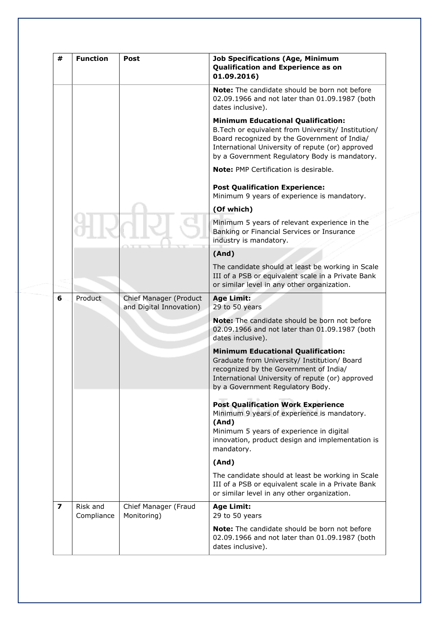| #              | <b>Function</b>        | Post                                              | <b>Job Specifications (Age, Minimum</b><br>Qualification and Experience as on<br>01.09.2016)                                                                                                                                                          |
|----------------|------------------------|---------------------------------------------------|-------------------------------------------------------------------------------------------------------------------------------------------------------------------------------------------------------------------------------------------------------|
|                |                        |                                                   | <b>Note:</b> The candidate should be born not before<br>02.09.1966 and not later than 01.09.1987 (both<br>dates inclusive).                                                                                                                           |
|                |                        |                                                   | <b>Minimum Educational Qualification:</b><br>B. Tech or equivalent from University/ Institution/<br>Board recognized by the Government of India/<br>International University of repute (or) approved<br>by a Government Regulatory Body is mandatory. |
|                |                        |                                                   | Note: PMP Certification is desirable.                                                                                                                                                                                                                 |
|                |                        |                                                   | <b>Post Qualification Experience:</b><br>Minimum 9 years of experience is mandatory.                                                                                                                                                                  |
|                |                        |                                                   | (Of which)                                                                                                                                                                                                                                            |
|                |                        |                                                   | Minimum 5 years of relevant experience in the<br>Banking or Financial Services or Insurance<br>industry is mandatory.                                                                                                                                 |
|                |                        |                                                   | (And)                                                                                                                                                                                                                                                 |
|                |                        |                                                   | The candidate should at least be working in Scale<br>III of a PSB or equivalent scale in a Private Bank<br>or similar level in any other organization.                                                                                                |
| 6              | Product                | Chief Manager (Product<br>and Digital Innovation) | <b>Age Limit:</b><br>29 to 50 years                                                                                                                                                                                                                   |
|                |                        |                                                   | <b>Note:</b> The candidate should be born not before<br>02.09.1966 and not later than 01.09.1987 (both<br>dates inclusive).                                                                                                                           |
|                |                        |                                                   | <b>Minimum Educational Qualification:</b><br>Graduate from University/ Institution/ Board<br>recognized by the Government of India/<br>International University of repute (or) approved<br>by a Government Regulatory Body.                           |
|                |                        |                                                   | <b>Post Qualification Work Experience</b><br>Minimum 9 years of experience is mandatory.<br>(And)<br>Minimum 5 years of experience in digital<br>innovation, product design and implementation is<br>mandatory.                                       |
|                |                        |                                                   | (And)                                                                                                                                                                                                                                                 |
|                |                        |                                                   | The candidate should at least be working in Scale<br>III of a PSB or equivalent scale in a Private Bank<br>or similar level in any other organization.                                                                                                |
| $\overline{z}$ | Risk and<br>Compliance | Chief Manager (Fraud<br>Monitoring)               | <b>Age Limit:</b><br>29 to 50 years                                                                                                                                                                                                                   |
|                |                        |                                                   | <b>Note:</b> The candidate should be born not before<br>02.09.1966 and not later than 01.09.1987 (both<br>dates inclusive).                                                                                                                           |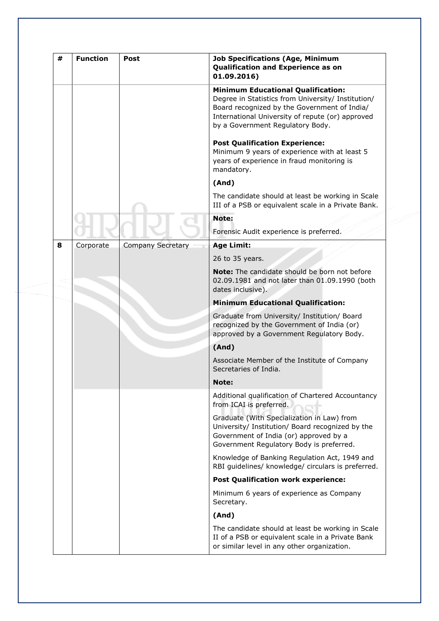| # | <b>Function</b> | Post                     | <b>Job Specifications (Age, Minimum</b><br>Qualification and Experience as on<br>01.09.2016)                                                                                                                                            |
|---|-----------------|--------------------------|-----------------------------------------------------------------------------------------------------------------------------------------------------------------------------------------------------------------------------------------|
|   |                 |                          | <b>Minimum Educational Qualification:</b><br>Degree in Statistics from University/ Institution/<br>Board recognized by the Government of India/<br>International University of repute (or) approved<br>by a Government Regulatory Body. |
|   |                 |                          | <b>Post Qualification Experience:</b><br>Minimum 9 years of experience with at least 5<br>years of experience in fraud monitoring is<br>mandatory.                                                                                      |
|   |                 |                          | (And)                                                                                                                                                                                                                                   |
|   |                 |                          | The candidate should at least be working in Scale<br>III of a PSB or equivalent scale in a Private Bank.                                                                                                                                |
|   |                 |                          | Note:                                                                                                                                                                                                                                   |
|   |                 |                          | Forensic Audit experience is preferred.                                                                                                                                                                                                 |
| 8 | Corporate       | <b>Company Secretary</b> | <b>Age Limit:</b>                                                                                                                                                                                                                       |
|   |                 |                          | 26 to 35 years.                                                                                                                                                                                                                         |
|   |                 |                          | Note: The candidate should be born not before<br>02.09.1981 and not later than 01.09.1990 (both<br>dates inclusive).                                                                                                                    |
|   |                 |                          | <b>Minimum Educational Qualification:</b>                                                                                                                                                                                               |
|   |                 |                          | Graduate from University/ Institution/ Board<br>recognized by the Government of India (or)<br>approved by a Government Regulatory Body.                                                                                                 |
|   |                 |                          | (And)                                                                                                                                                                                                                                   |
|   |                 |                          | Associate Member of the Institute of Company<br>Secretaries of India.                                                                                                                                                                   |
|   |                 |                          | Note:                                                                                                                                                                                                                                   |
|   |                 |                          | Additional qualification of Chartered Accountancy<br>from ICAI is preferred.                                                                                                                                                            |
|   |                 |                          | Graduate (With Specialization in Law) from<br>University/ Institution/ Board recognized by the<br>Government of India (or) approved by a<br>Government Regulatory Body is preferred.                                                    |
|   |                 |                          | Knowledge of Banking Regulation Act, 1949 and<br>RBI guidelines/ knowledge/ circulars is preferred.                                                                                                                                     |
|   |                 |                          | <b>Post Qualification work experience:</b>                                                                                                                                                                                              |
|   |                 |                          | Minimum 6 years of experience as Company<br>Secretary.                                                                                                                                                                                  |
|   |                 |                          | (And)                                                                                                                                                                                                                                   |
|   |                 |                          | The candidate should at least be working in Scale<br>II of a PSB or equivalent scale in a Private Bank<br>or similar level in any other organization.                                                                                   |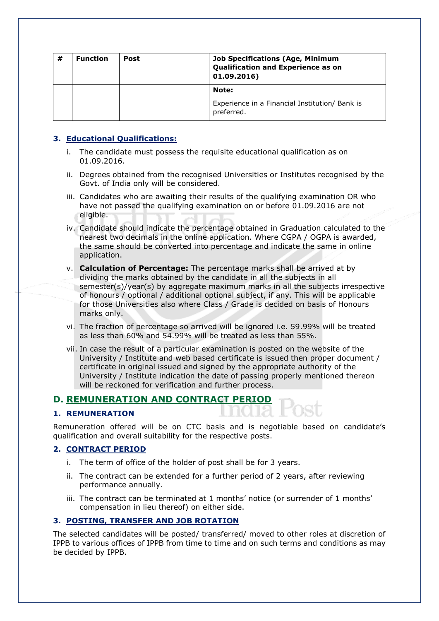| # | <b>Function</b> | Post | <b>Job Specifications (Age, Minimum</b><br>Qualification and Experience as on<br>01.09.2016) |
|---|-----------------|------|----------------------------------------------------------------------------------------------|
|   |                 |      | Note:<br>Experience in a Financial Institution/ Bank is<br>preferred.                        |

## **3. Educational Qualifications:**

- i. The candidate must possess the requisite educational qualification as on 01.09.2016.
- ii. Degrees obtained from the recognised Universities or Institutes recognised by the Govt. of India only will be considered.
- iii. Candidates who are awaiting their results of the qualifying examination OR who have not passed the qualifying examination on or before 01.09.2016 are not eligible.
- iv. Candidate should indicate the percentage obtained in Graduation calculated to the nearest two decimals in the online application. Where CGPA / OGPA is awarded, the same should be converted into percentage and indicate the same in online application.
- v. **Calculation of Percentage:** The percentage marks shall be arrived at by dividing the marks obtained by the candidate in all the subjects in all semester(s)/year(s) by aggregate maximum marks in all the subjects irrespective of honours / optional / additional optional subject, if any. This will be applicable for those Universities also where Class / Grade is decided on basis of Honours marks only.
- vi. The fraction of percentage so arrived will be ignored i.e. 59.99% will be treated as less than 60% and 54.99% will be treated as less than 55%.
- vii. In case the result of a particular examination is posted on the website of the University / Institute and web based certificate is issued then proper document / certificate in original issued and signed by the appropriate authority of the University / Institute indication the date of passing properly mentioned thereon will be reckoned for verification and further process.

## **D. REMUNERATION AND CONTRACT PERIOD**

## **1. REMUNERATION**

Remuneration offered will be on CTC basis and is negotiable based on candidate's qualification and overall suitability for the respective posts.

## **2. CONTRACT PERIOD**

- i. The term of office of the holder of post shall be for 3 years.
- ii. The contract can be extended for a further period of 2 years, after reviewing performance annually.
- iii. The contract can be terminated at 1 months' notice (or surrender of 1 months' compensation in lieu thereof) on either side.

## **3. POSTING, TRANSFER AND JOB ROTATION**

The selected candidates will be posted/ transferred/ moved to other roles at discretion of IPPB to various offices of IPPB from time to time and on such terms and conditions as may be decided by IPPB.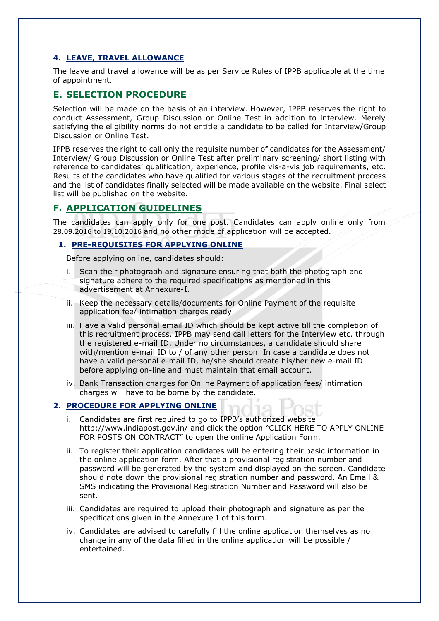## **4. LEAVE, TRAVEL ALLOWANCE**

The leave and travel allowance will be as per Service Rules of IPPB applicable at the time of appointment.

## **E. SELECTION PROCEDURE**

Selection will be made on the basis of an interview. However, IPPB reserves the right to conduct Assessment, Group Discussion or Online Test in addition to interview. Merely satisfying the eligibility norms do not entitle a candidate to be called for Interview/Group Discussion or Online Test.

IPPB reserves the right to call only the requisite number of candidates for the Assessment/ Interview/ Group Discussion or Online Test after preliminary screening/ short listing with reference to candidates' qualification, experience, profile vis-a-vis job requirements, etc. Results of the candidates who have qualified for various stages of the recruitment process and the list of candidates finally selected will be made available on the website. Final select list will be published on the website.

## **F. APPLICATION GUIDELINES**

The candidates can apply only for one post. Candidates can apply online only from 28.09.2016 to 19.10.2016 and no other mode of application will be accepted.

## **1. PRE-REQUISITES FOR APPLYING ONLINE**

Before applying online, candidates should:

- i. Scan their photograph and signature ensuring that both the photograph and signature adhere to the required specifications as mentioned in this advertisement at Annexure-I.
- ii. Keep the necessary details/documents for Online Payment of the requisite application fee/ intimation charges ready.
- iii. Have a valid personal email ID which should be kept active till the completion of this recruitment process. IPPB may send call letters for the Interview etc. through the registered e-mail ID. Under no circumstances, a candidate should share with/mention e-mail ID to / of any other person. In case a candidate does not have a valid personal e-mail ID, he/she should create his/her new e-mail ID before applying on-line and must maintain that email account.
- iv. Bank Transaction charges for Online Payment of application fees/ intimation charges will have to be borne by the candidate.

## **2. PROCEDURE FOR APPLYING ONLINE**

- i. Candidates are first required to go to IPPB's authorized website <http://www.indiapost.gov.in/> and click the option "CLICK HERE TO APPLY ONLINE FOR POSTS ON CONTRACT" to open the online Application Form.
- ii. To register their application candidates will be entering their basic information in the online application form. After that a provisional registration number and password will be generated by the system and displayed on the screen. Candidate should note down the provisional registration number and password. An Email & SMS indicating the Provisional Registration Number and Password will also be sent.
- iii. Candidates are required to upload their photograph and signature as per the specifications given in the Annexure I of this form.
- iv. Candidates are advised to carefully fill the online application themselves as no change in any of the data filled in the online application will be possible / entertained.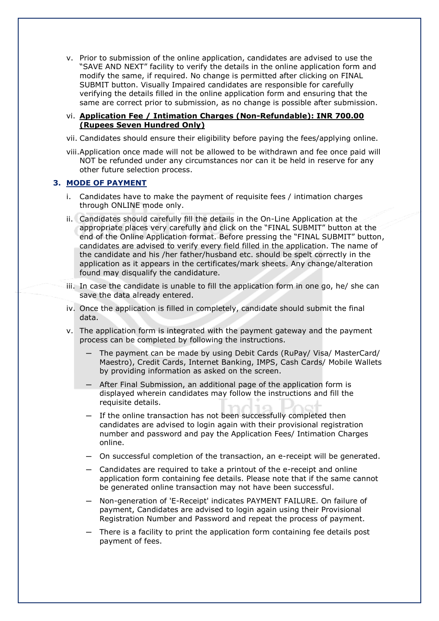v. Prior to submission of the online application, candidates are advised to use the "SAVE AND NEXT" facility to verify the details in the online application form and modify the same, if required. No change is permitted after clicking on FINAL SUBMIT button. Visually Impaired candidates are responsible for carefully verifying the details filled in the online application form and ensuring that the same are correct prior to submission, as no change is possible after submission.

## vi. **Application Fee / Intimation Charges (Non-Refundable): INR 700.00 (Rupees Seven Hundred Only)**

- vii. Candidates should ensure their eligibility before paying the fees/applying online.
- viii.Application once made will not be allowed to be withdrawn and fee once paid will NOT be refunded under any circumstances nor can it be held in reserve for any other future selection process.

## **3. MODE OF PAYMENT**

- i. Candidates have to make the payment of requisite fees / intimation charges through ONLINE mode only.
- ii. Candidates should carefully fill the details in the On-Line Application at the appropriate places very carefully and click on the "FINAL SUBMIT" button at the end of the Online Application format. Before pressing the "FINAL SUBMIT" button, candidates are advised to verify every field filled in the application. The name of the candidate and his /her father/husband etc. should be spelt correctly in the application as it appears in the certificates/mark sheets. Any change/alteration found may disqualify the candidature.
- iii. In case the candidate is unable to fill the application form in one go, he/ she can save the data already entered.
- iv. Once the application is filled in completely, candidate should submit the final data.
- v. The application form is integrated with the payment gateway and the payment process can be completed by following the instructions.
	- The payment can be made by using Debit Cards (RuPay/ Visa/ MasterCard/ Maestro), Credit Cards, Internet Banking, IMPS, Cash Cards/ Mobile Wallets by providing information as asked on the screen.
	- ─ After Final Submission, an additional page of the application form is displayed wherein candidates may follow the instructions and fill the requisite details.
	- $-$  If the online transaction has not been successfully completed then candidates are advised to login again with their provisional registration number and password and pay the Application Fees/ Intimation Charges online.
	- ─ On successful completion of the transaction, an e-receipt will be generated.
	- ─ Candidates are required to take a printout of the e-receipt and online application form containing fee details. Please note that if the same cannot be generated online transaction may not have been successful.
	- ─ Non-generation of 'E-Receipt' indicates PAYMENT FAILURE. On failure of payment, Candidates are advised to login again using their Provisional Registration Number and Password and repeat the process of payment.
	- ─ There is a facility to print the application form containing fee details post payment of fees.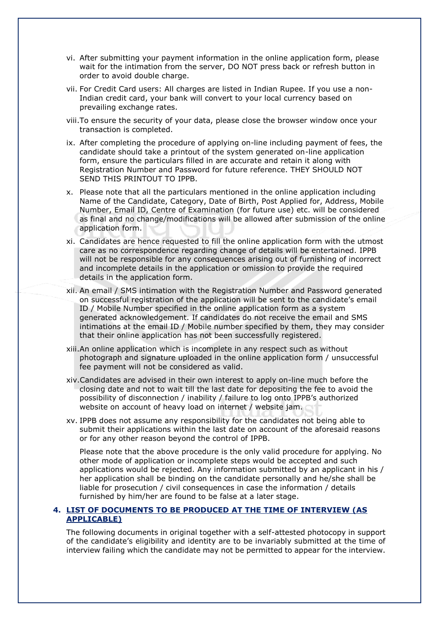- vi. After submitting your payment information in the online application form, please wait for the intimation from the server, DO NOT press back or refresh button in order to avoid double charge.
- vii. For Credit Card users: All charges are listed in Indian Rupee. If you use a non-Indian credit card, your bank will convert to your local currency based on prevailing exchange rates.
- viii.To ensure the security of your data, please close the browser window once your transaction is completed.
- ix. After completing the procedure of applying on-line including payment of fees, the candidate should take a printout of the system generated on-line application form, ensure the particulars filled in are accurate and retain it along with Registration Number and Password for future reference. THEY SHOULD NOT SEND THIS PRINTOUT TO IPPB.
- x. Please note that all the particulars mentioned in the online application including Name of the Candidate, Category, Date of Birth, Post Applied for, Address, Mobile Number, Email ID, Centre of Examination (for future use) etc. will be considered as final and no change/modifications will be allowed after submission of the online application form.
- xi. Candidates are hence requested to fill the online application form with the utmost care as no correspondence regarding change of details will be entertained. IPPB will not be responsible for any consequences arising out of furnishing of incorrect and incomplete details in the application or omission to provide the required details in the application form.
- xii. An email / SMS intimation with the Registration Number and Password generated on successful registration of the application will be sent to the candidate's email ID / Mobile Number specified in the online application form as a system generated acknowledgement. If candidates do not receive the email and SMS intimations at the email ID / Mobile number specified by them, they may consider that their online application has not been successfully registered.
- xiii.An online application which is incomplete in any respect such as without photograph and signature uploaded in the online application form / unsuccessful fee payment will not be considered as valid.
- xiv.Candidates are advised in their own interest to apply on-line much before the closing date and not to wait till the last date for depositing the fee to avoid the possibility of disconnection / inability / failure to log onto IPPB's authorized website on account of heavy load on internet / website jam.
- xv. IPPB does not assume any responsibility for the candidates not being able to submit their applications within the last date on account of the aforesaid reasons or for any other reason beyond the control of IPPB.

Please note that the above procedure is the only valid procedure for applying. No other mode of application or incomplete steps would be accepted and such applications would be rejected. Any information submitted by an applicant in his / her application shall be binding on the candidate personally and he/she shall be liable for prosecution / civil consequences in case the information / details furnished by him/her are found to be false at a later stage.

## **4. LIST OF DOCUMENTS TO BE PRODUCED AT THE TIME OF INTERVIEW (AS APPLICABLE)**

The following documents in original together with a self-attested photocopy in support of the candidate's eligibility and identity are to be invariably submitted at the time of interview failing which the candidate may not be permitted to appear for the interview.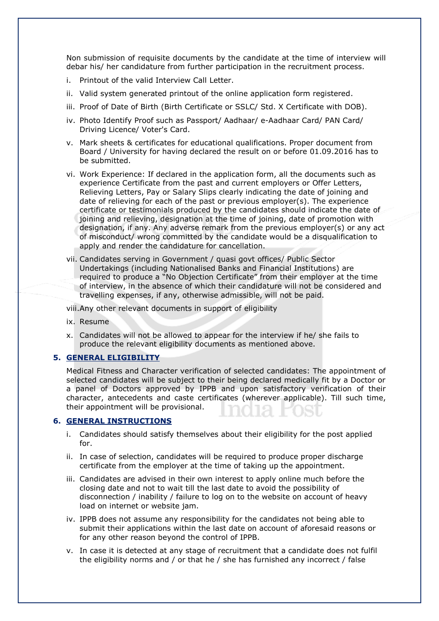Non submission of requisite documents by the candidate at the time of interview will debar his/ her candidature from further participation in the recruitment process.

- i. Printout of the valid Interview Call Letter.
- ii. Valid system generated printout of the online application form registered.
- iii. Proof of Date of Birth (Birth Certificate or SSLC/ Std. X Certificate with DOB).
- iv. Photo Identify Proof such as Passport/ Aadhaar/ e-Aadhaar Card/ PAN Card/ Driving Licence/ Voter's Card.
- v. Mark sheets & certificates for educational qualifications. Proper document from Board / University for having declared the result on or before 01.09.2016 has to be submitted.
- vi. Work Experience: If declared in the application form, all the documents such as experience Certificate from the past and current employers or Offer Letters, Relieving Letters, Pay or Salary Slips clearly indicating the date of joining and date of relieving for each of the past or previous employer(s). The experience certificate or testimonials produced by the candidates should indicate the date of joining and relieving, designation at the time of joining, date of promotion with designation, if any. Any adverse remark from the previous employer(s) or any act of misconduct/ wrong committed by the candidate would be a disqualification to apply and render the candidature for cancellation.
- vii. Candidates serving in Government / quasi govt offices/ Public Sector Undertakings (including Nationalised Banks and Financial Institutions) are required to produce a "No Objection Certificate" from their employer at the time of interview, in the absence of which their candidature will not be considered and travelling expenses, if any, otherwise admissible, will not be paid.

viii.Any other relevant documents in support of eligibility

- ix. Resume
- x. Candidates will not be allowed to appear for the interview if he/ she fails to produce the relevant eligibility documents as mentioned above.

#### **5. GENERAL ELIGIBILITY**

Medical Fitness and Character verification of selected candidates: The appointment of selected candidates will be subject to their being declared medically fit by a Doctor or a panel of Doctors approved by IPPB and upon satisfactory verification of their character, antecedents and caste certificates (wherever applicable). Till such time, their appointment will be provisional.

#### **6. GENERAL INSTRUCTIONS**

- i. Candidates should satisfy themselves about their eligibility for the post applied for.
- ii. In case of selection, candidates will be required to produce proper discharge certificate from the employer at the time of taking up the appointment.
- iii. Candidates are advised in their own interest to apply online much before the closing date and not to wait till the last date to avoid the possibility of disconnection / inability / failure to log on to the website on account of heavy load on internet or website jam.
- iv. IPPB does not assume any responsibility for the candidates not being able to submit their applications within the last date on account of aforesaid reasons or for any other reason beyond the control of IPPB.
- v. In case it is detected at any stage of recruitment that a candidate does not fulfil the eligibility norms and / or that he / she has furnished any incorrect / false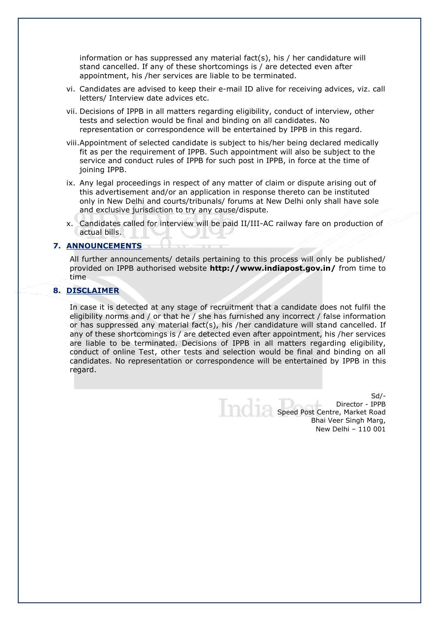information or has suppressed any material fact(s), his  $/$  her candidature will stand cancelled. If any of these shortcomings is / are detected even after appointment, his /her services are liable to be terminated.

- vi. Candidates are advised to keep their e-mail ID alive for receiving advices, viz. call letters/ Interview date advices etc.
- vii. Decisions of IPPB in all matters regarding eligibility, conduct of interview, other tests and selection would be final and binding on all candidates. No representation or correspondence will be entertained by IPPB in this regard.
- viii.Appointment of selected candidate is subject to his/her being declared medically fit as per the requirement of IPPB. Such appointment will also be subject to the service and conduct rules of IPPB for such post in IPPB, in force at the time of joining IPPB.
- ix. Any legal proceedings in respect of any matter of claim or dispute arising out of this advertisement and/or an application in response thereto can be instituted only in New Delhi and courts/tribunals/ forums at New Delhi only shall have sole and exclusive jurisdiction to try any cause/dispute.
- x. Candidates called for interview will be paid II/III-AC railway fare on production of actual bills.

### **7. ANNOUNCEMENTS**

All further announcements/ details pertaining to this process will only be published/ provided on IPPB authorised website **<http://www.indiapost.gov.in/>** from time to time

## **8. DISCLAIMER**

In case it is detected at any stage of recruitment that a candidate does not fulfil the eligibility norms and / or that he / she has furnished any incorrect / false information or has suppressed any material fact(s), his /her candidature will stand cancelled. If any of these shortcomings is / are detected even after appointment, his /her services are liable to be terminated. Decisions of IPPB in all matters regarding eligibility, conduct of online Test, other tests and selection would be final and binding on all candidates. No representation or correspondence will be entertained by IPPB in this regard.

> Sd/- Director - IPPB Speed Post Centre, Market Road Bhai Veer Singh Marg, New Delhi – 110 001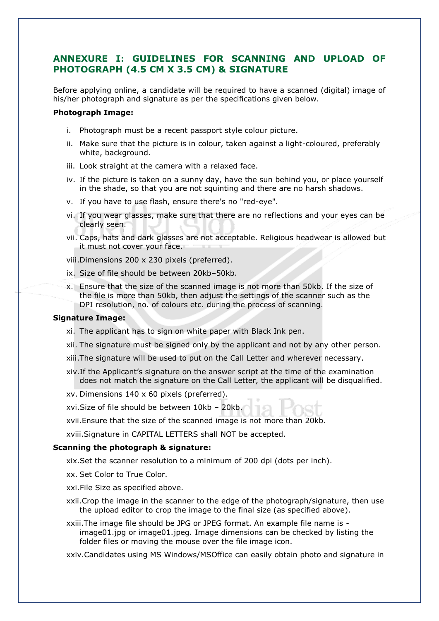## **ANNEXURE I: GUIDELINES FOR SCANNING AND UPLOAD OF PHOTOGRAPH (4.5 CM X 3.5 CM) & SIGNATURE**

Before applying online, a candidate will be required to have a scanned (digital) image of his/her photograph and signature as per the specifications given below.

#### **Photograph Image:**

- i. Photograph must be a recent passport style colour picture.
- ii. Make sure that the picture is in colour, taken against a light-coloured, preferably white, background.
- iii. Look straight at the camera with a relaxed face.
- iv. If the picture is taken on a sunny day, have the sun behind you, or place yourself in the shade, so that you are not squinting and there are no harsh shadows.
- v. If you have to use flash, ensure there's no "red-eye".
- vi. If you wear glasses, make sure that there are no reflections and your eyes can be clearly seen.
- vii. Caps, hats and dark glasses are not acceptable. Religious headwear is allowed but it must not cover your face.

viii.Dimensions 200 x 230 pixels (preferred).

- ix. Size of file should be between 20kb–50kb.
- x. Ensure that the size of the scanned image is not more than 50kb. If the size of the file is more than 50kb, then adjust the settings of the scanner such as the DPI resolution, no. of colours etc. during the process of scanning.

#### **Signature Image:**

- xi. The applicant has to sign on white paper with Black Ink pen.
- xii. The signature must be signed only by the applicant and not by any other person.
- xiii.The signature will be used to put on the Call Letter and wherever necessary.
- xiv.If the Applicant's signature on the answer script at the time of the examination does not match the signature on the Call Letter, the applicant will be disqualified.

xv. Dimensions 140 x 60 pixels (preferred).

xvi.Size of file should be between 10kb – 20kb.

xvii.Ensure that the size of the scanned image is not more than 20kb.

xviii.Signature in CAPITAL LETTERS shall NOT be accepted.

## **Scanning the photograph & signature:**

xix.Set the scanner resolution to a minimum of 200 dpi (dots per inch).

- xx. Set Color to True Color.
- xxi.File Size as specified above.
- xxii.Crop the image in the scanner to the edge of the photograph/signature, then use the upload editor to crop the image to the final size (as specified above).
- xxiii.The image file should be JPG or JPEG format. An example file name is image01.jpg or image01.jpeg. Image dimensions can be checked by listing the folder files or moving the mouse over the file image icon.

xxiv.Candidates using MS Windows/MSOffice can easily obtain photo and signature in